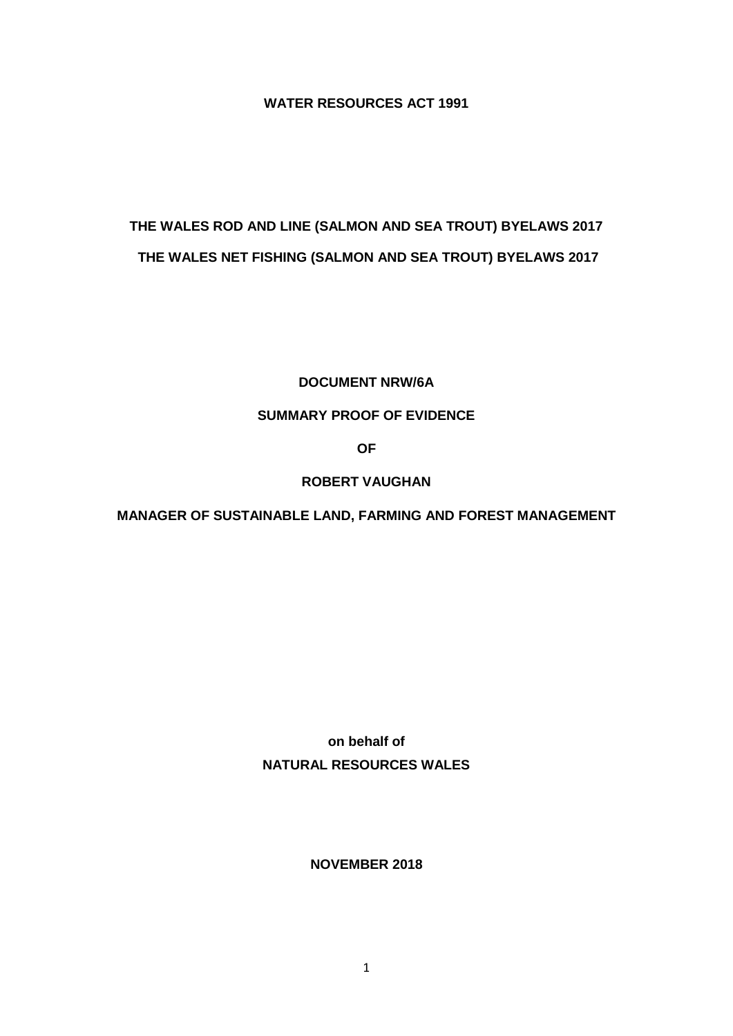**WATER RESOURCES ACT 1991**

# **THE WALES ROD AND LINE (SALMON AND SEA TROUT) BYELAWS 2017 THE WALES NET FISHING (SALMON AND SEA TROUT) BYELAWS 2017**

## **DOCUMENT NRW/6A**

# **SUMMARY PROOF OF EVIDENCE**

**OF**

# **ROBERT VAUGHAN**

# **MANAGER OF SUSTAINABLE LAND, FARMING AND FOREST MANAGEMENT**

**on behalf of NATURAL RESOURCES WALES**

**NOVEMBER 2018**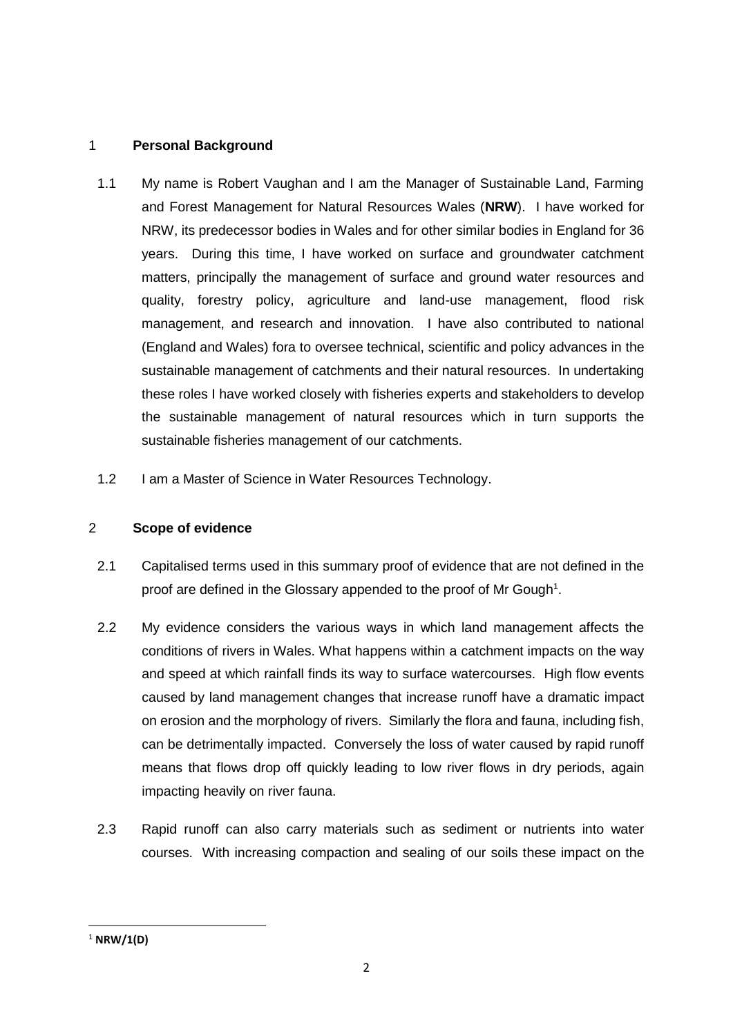## 1 **Personal Background**

- 1.1 My name is Robert Vaughan and I am the Manager of Sustainable Land, Farming and Forest Management for Natural Resources Wales (**NRW**). I have worked for NRW, its predecessor bodies in Wales and for other similar bodies in England for 36 years. During this time, I have worked on surface and groundwater catchment matters, principally the management of surface and ground water resources and quality, forestry policy, agriculture and land-use management, flood risk management, and research and innovation. I have also contributed to national (England and Wales) fora to oversee technical, scientific and policy advances in the sustainable management of catchments and their natural resources. In undertaking these roles I have worked closely with fisheries experts and stakeholders to develop the sustainable management of natural resources which in turn supports the sustainable fisheries management of our catchments.
- 1.2 I am a Master of Science in Water Resources Technology.

#### 2 **Scope of evidence**

- 2.1 Capitalised terms used in this summary proof of evidence that are not defined in the proof are defined in the Glossary appended to the proof of Mr Gough<sup>1</sup>.
- 2.2 My evidence considers the various ways in which land management affects the conditions of rivers in Wales. What happens within a catchment impacts on the way and speed at which rainfall finds its way to surface watercourses. High flow events caused by land management changes that increase runoff have a dramatic impact on erosion and the morphology of rivers. Similarly the flora and fauna, including fish, can be detrimentally impacted. Conversely the loss of water caused by rapid runoff means that flows drop off quickly leading to low river flows in dry periods, again impacting heavily on river fauna.
- 2.3 Rapid runoff can also carry materials such as sediment or nutrients into water courses. With increasing compaction and sealing of our soils these impact on the

**.** 

<sup>1</sup> **NRW/1(D)**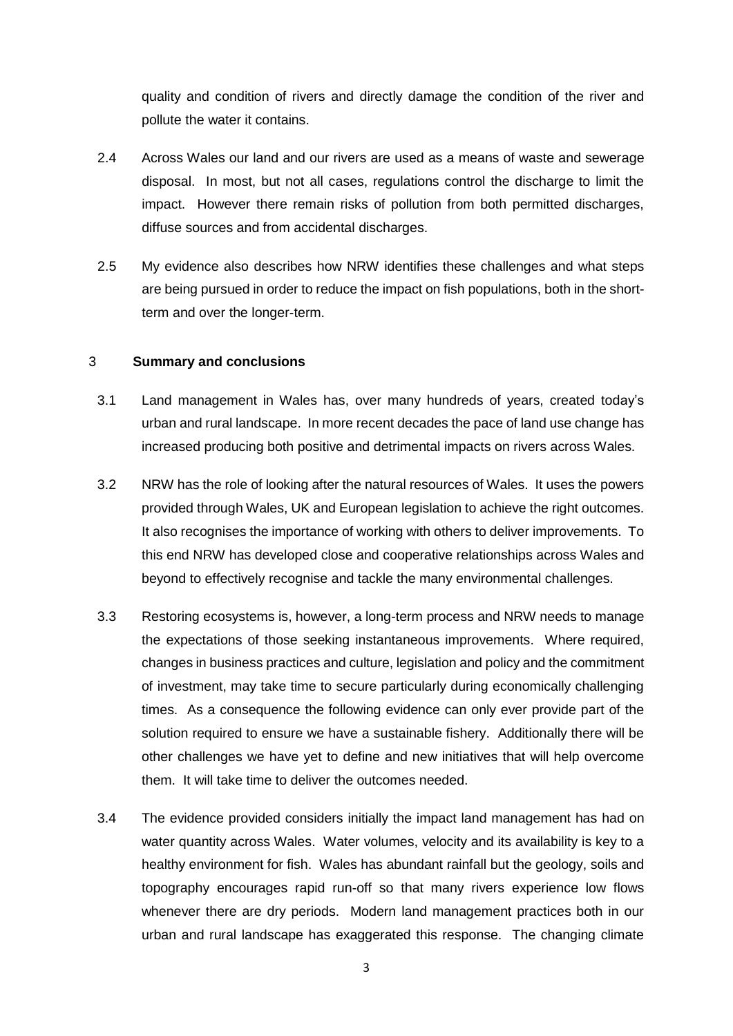quality and condition of rivers and directly damage the condition of the river and pollute the water it contains.

- 2.4 Across Wales our land and our rivers are used as a means of waste and sewerage disposal. In most, but not all cases, regulations control the discharge to limit the impact. However there remain risks of pollution from both permitted discharges, diffuse sources and from accidental discharges.
- 2.5 My evidence also describes how NRW identifies these challenges and what steps are being pursued in order to reduce the impact on fish populations, both in the shortterm and over the longer-term.

#### 3 **Summary and conclusions**

- 3.1 Land management in Wales has, over many hundreds of years, created today's urban and rural landscape. In more recent decades the pace of land use change has increased producing both positive and detrimental impacts on rivers across Wales.
- 3.2 NRW has the role of looking after the natural resources of Wales. It uses the powers provided through Wales, UK and European legislation to achieve the right outcomes. It also recognises the importance of working with others to deliver improvements. To this end NRW has developed close and cooperative relationships across Wales and beyond to effectively recognise and tackle the many environmental challenges.
- 3.3 Restoring ecosystems is, however, a long-term process and NRW needs to manage the expectations of those seeking instantaneous improvements. Where required, changes in business practices and culture, legislation and policy and the commitment of investment, may take time to secure particularly during economically challenging times. As a consequence the following evidence can only ever provide part of the solution required to ensure we have a sustainable fishery. Additionally there will be other challenges we have yet to define and new initiatives that will help overcome them. It will take time to deliver the outcomes needed.
- 3.4 The evidence provided considers initially the impact land management has had on water quantity across Wales. Water volumes, velocity and its availability is key to a healthy environment for fish. Wales has abundant rainfall but the geology, soils and topography encourages rapid run-off so that many rivers experience low flows whenever there are dry periods. Modern land management practices both in our urban and rural landscape has exaggerated this response. The changing climate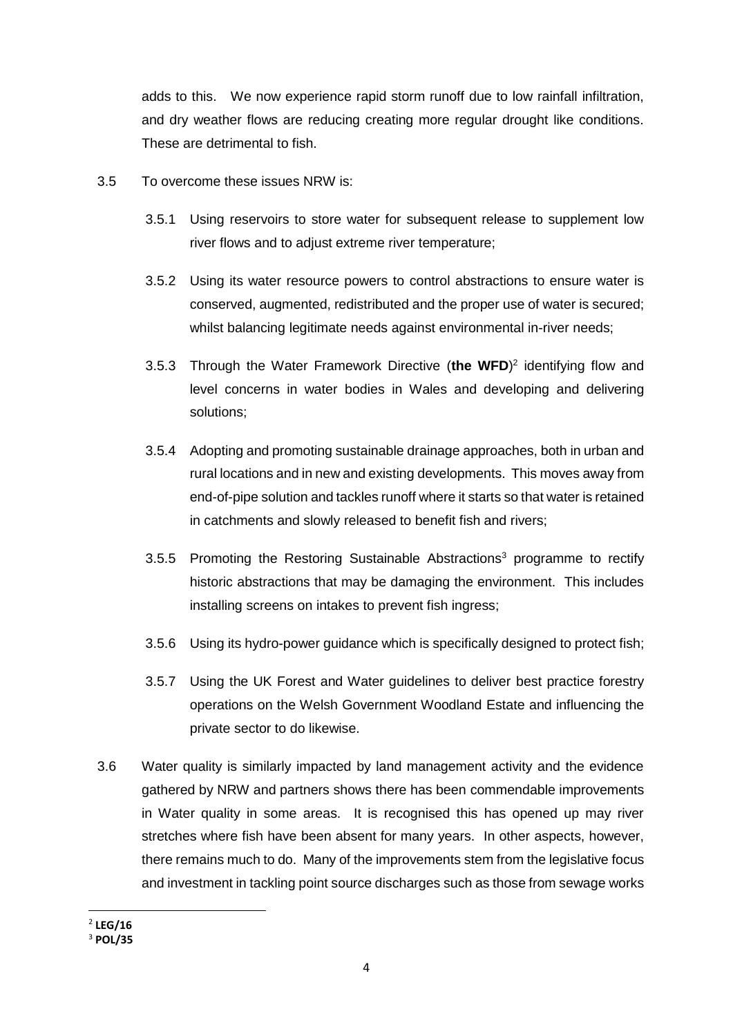adds to this. We now experience rapid storm runoff due to low rainfall infiltration, and dry weather flows are reducing creating more regular drought like conditions. These are detrimental to fish.

- 3.5 To overcome these issues NRW is:
	- 3.5.1 Using reservoirs to store water for subsequent release to supplement low river flows and to adjust extreme river temperature;
	- 3.5.2 Using its water resource powers to control abstractions to ensure water is conserved, augmented, redistributed and the proper use of water is secured; whilst balancing legitimate needs against environmental in-river needs;
	- 3.5.3 Through the Water Framework Directive (**the WFD**) 2 identifying flow and level concerns in water bodies in Wales and developing and delivering solutions;
	- 3.5.4 Adopting and promoting sustainable drainage approaches, both in urban and rural locations and in new and existing developments. This moves away from end-of-pipe solution and tackles runoff where it starts so that water is retained in catchments and slowly released to benefit fish and rivers;
	- 3.5.5 Promoting the Restoring Sustainable Abstractions<sup>3</sup> programme to rectify historic abstractions that may be damaging the environment. This includes installing screens on intakes to prevent fish ingress;
	- 3.5.6 Using its hydro-power guidance which is specifically designed to protect fish;
	- 3.5.7 Using the UK Forest and Water guidelines to deliver best practice forestry operations on the Welsh Government Woodland Estate and influencing the private sector to do likewise.
- 3.6 Water quality is similarly impacted by land management activity and the evidence gathered by NRW and partners shows there has been commendable improvements in Water quality in some areas. It is recognised this has opened up may river stretches where fish have been absent for many years. In other aspects, however, there remains much to do. Many of the improvements stem from the legislative focus and investment in tackling point source discharges such as those from sewage works

**.** 

<sup>2</sup> **LEG/16**

<sup>3</sup> **POL/35**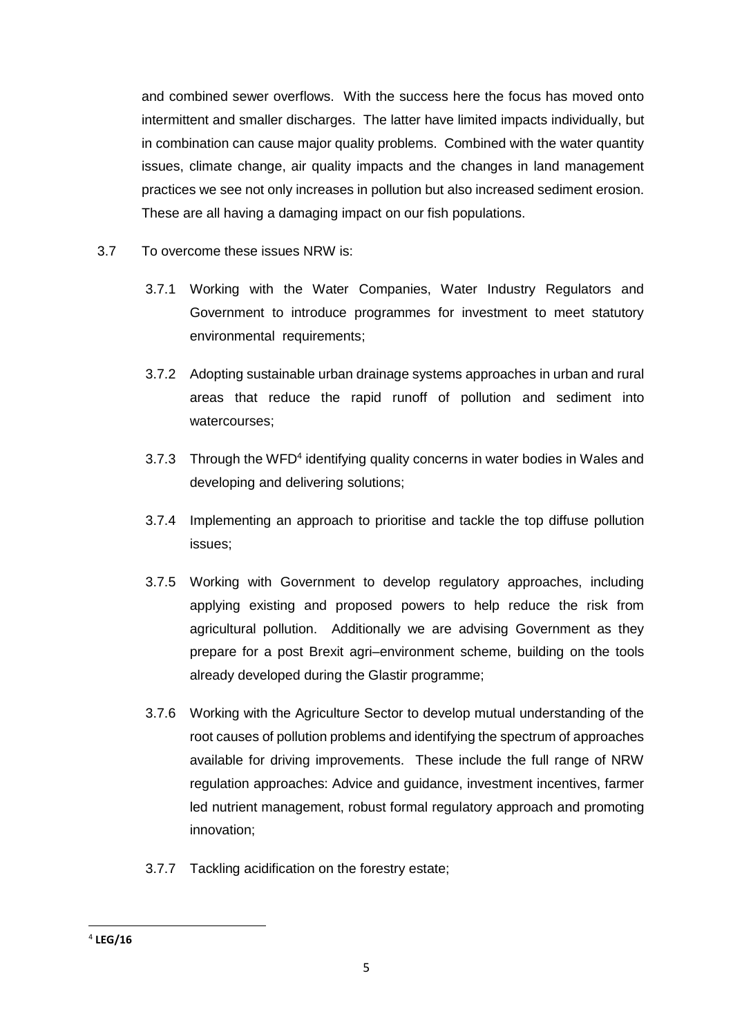and combined sewer overflows. With the success here the focus has moved onto intermittent and smaller discharges. The latter have limited impacts individually, but in combination can cause major quality problems. Combined with the water quantity issues, climate change, air quality impacts and the changes in land management practices we see not only increases in pollution but also increased sediment erosion. These are all having a damaging impact on our fish populations.

- 3.7 To overcome these issues NRW is:
	- 3.7.1 Working with the Water Companies, Water Industry Regulators and Government to introduce programmes for investment to meet statutory environmental requirements;
	- 3.7.2 Adopting sustainable urban drainage systems approaches in urban and rural areas that reduce the rapid runoff of pollution and sediment into watercourses;
	- 3.7.3 Through the WFD<sup>4</sup> identifying quality concerns in water bodies in Wales and developing and delivering solutions;
	- 3.7.4 Implementing an approach to prioritise and tackle the top diffuse pollution issues;
	- 3.7.5 Working with Government to develop regulatory approaches, including applying existing and proposed powers to help reduce the risk from agricultural pollution. Additionally we are advising Government as they prepare for a post Brexit agri–environment scheme, building on the tools already developed during the Glastir programme;
	- 3.7.6 Working with the Agriculture Sector to develop mutual understanding of the root causes of pollution problems and identifying the spectrum of approaches available for driving improvements. These include the full range of NRW regulation approaches: Advice and guidance, investment incentives, farmer led nutrient management, robust formal regulatory approach and promoting innovation;
	- 3.7.7 Tackling acidification on the forestry estate;

**<sup>.</sup>** 4 **LEG/16**